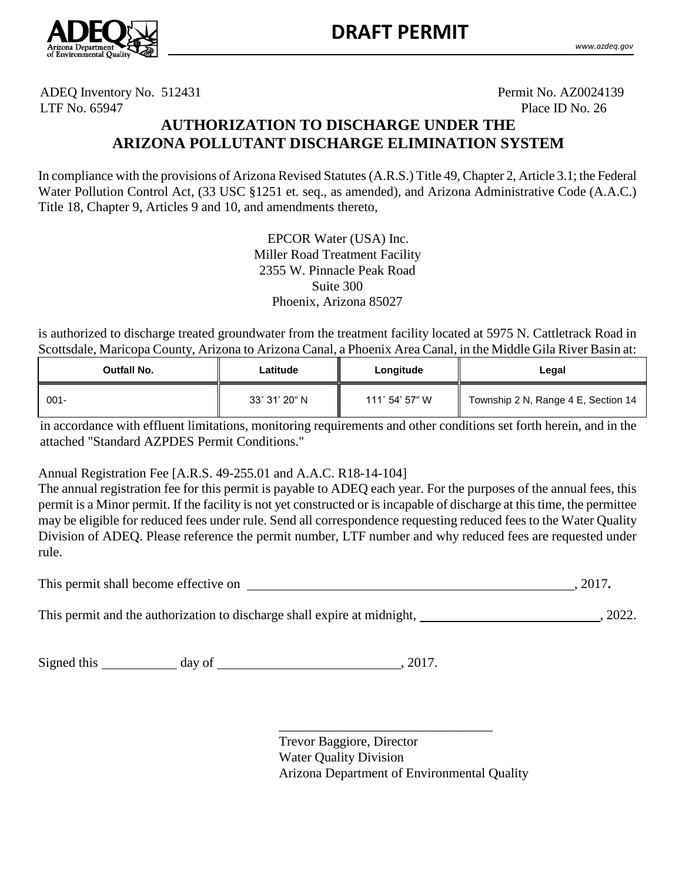

ADEQ Inventory No. 512431 Permit No. AZ0024139 LTF No. 65947 Place ID No. 26

# **AUTHORIZATION TO DISCHARGE UNDER THE ARIZONA POLLUTANT DISCHARGE ELIMINATION SYSTEM**

In compliance with the provisions of Arizona Revised Statutes (A.R.S.) Title 49, Chapter 2, Article 3.1; the Federal Water Pollution Control Act, (33 USC §1251 et. seq., as amended)*,* and Arizona Administrative Code (A.A.C.) Title 18, Chapter 9, Articles 9 and 10, and amendments thereto,

> EPCOR Water (USA) Inc. Miller Road Treatment Facility 2355 W. Pinnacle Peak Road Suite 300 Phoenix, Arizona 85027

is authorized to discharge treated groundwater from the treatment facility located at 5975 N. Cattletrack Road in Scottsdale, Maricopa County, Arizona to Arizona Canal, a Phoenix Area Canal, in the Middle Gila River Basin at:

| Outfall No. | Latitude      | Longitude              | Legal                               |
|-------------|---------------|------------------------|-------------------------------------|
| 001-        | 33° 31' 20" N | $111^\circ 54' 57'' W$ | Township 2 N, Range 4 E, Section 14 |

in accordance with effluent limitations, monitoring requirements and other conditions set forth herein, and in the attached "Standard AZPDES Permit Conditions."

Annual Registration Fee [A.R.S. 49-255.01 and A.A.C. R18-14-104]

The annual registration fee for this permit is payable to ADEQ each year. For the purposes of the annual fees, this permit is a Minor permit. If the facility is not yet constructed or is incapable of discharge at this time, the permittee may be eligible for reduced fees under rule. Send all correspondence requesting reduced fees to the Water Quality Division of ADEQ. Please reference the permit number, LTF number and why reduced fees are requested under rule.

This permit shall become effective on , 2017.

This permit and the authorization to discharge shall expire at midnight, 1993. This permit and the authorization to discharge shall expire at midnight, 1993.

Signed this day of , 2017.

Trevor Baggiore, Director Water Quality Division Arizona Department of Environmental Quality

\_\_\_\_\_\_\_\_\_\_\_\_\_\_\_\_\_\_\_\_\_\_\_\_\_\_\_\_\_\_\_\_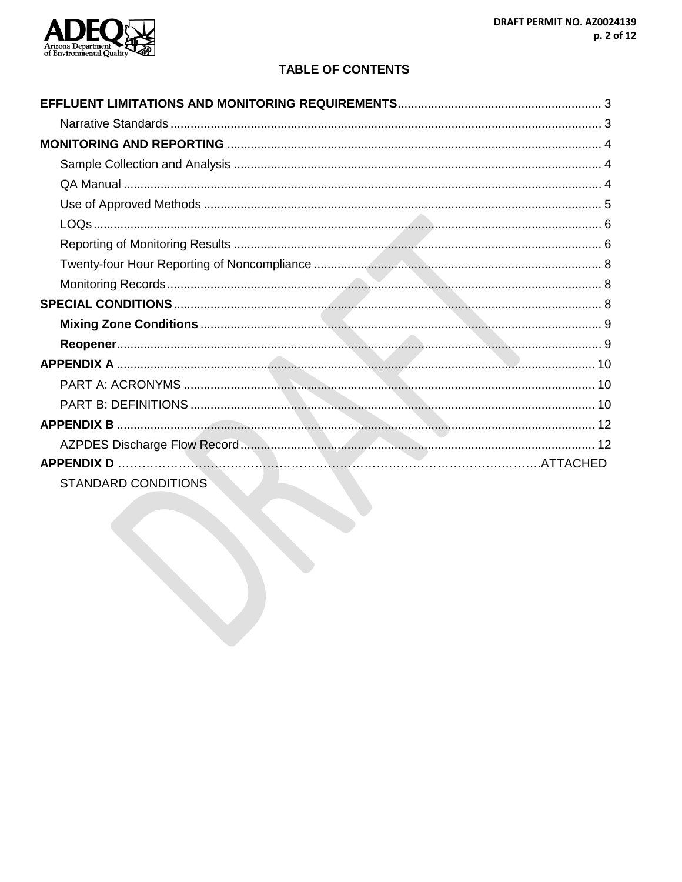

# **TABLE OF CONTENTS**

| <b>STANDARD CONDITIONS</b> |  |
|----------------------------|--|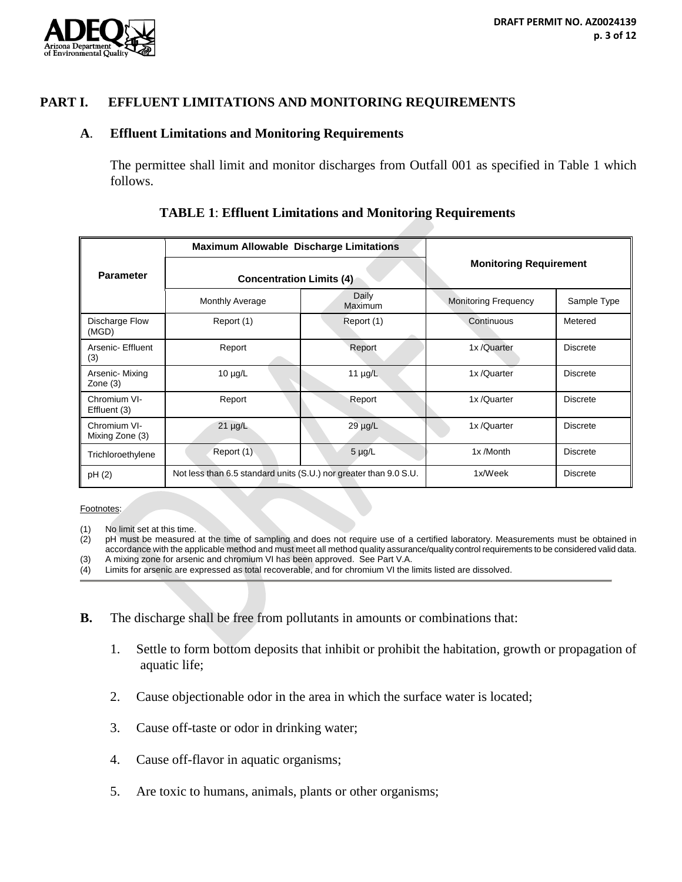

## **PART I. EFFLUENT LIMITATIONS AND MONITORING REQUIREMENTS**

#### **A**. **Effluent Limitations and Monitoring Requirements**

The permittee shall limit and monitor discharges from Outfall 001 as specified in Table 1 which follows.

|                                 | <b>Maximum Allowable Discharge Limitations</b>                    |                  | <b>Monitoring Requirement</b> |                 |
|---------------------------------|-------------------------------------------------------------------|------------------|-------------------------------|-----------------|
| <b>Parameter</b>                | <b>Concentration Limits (4)</b>                                   |                  |                               |                 |
|                                 | <b>Monthly Average</b>                                            | Daily<br>Maximum | <b>Monitoring Frequency</b>   | Sample Type     |
| Discharge Flow<br>(MGD)         | Report (1)                                                        | Report (1)       | Continuous                    | Metered         |
| Arsenic- Effluent<br>(3)        | Report                                                            | Report           | 1x/Quarter                    | <b>Discrete</b> |
| Arsenic- Mixing<br>Zone $(3)$   | $10 \mu g/L$                                                      | 11 $\mu$ g/L     | 1x/Quarter                    | <b>Discrete</b> |
| Chromium VI-<br>Effluent (3)    | Report                                                            | Report           | 1x/Quarter                    | <b>Discrete</b> |
| Chromium VI-<br>Mixing Zone (3) | $21 \mu g/L$                                                      | $29 \mu g/L$     | 1x/Quarter                    | <b>Discrete</b> |
| Trichloroethylene               | Report (1)                                                        | $5 \mu g/L$      | 1x/Month                      | <b>Discrete</b> |
| pH(2)                           | Not less than 6.5 standard units (S.U.) nor greater than 9.0 S.U. |                  | 1x/Week                       | <b>Discrete</b> |

#### **TABLE 1**: **Effluent Limitations and Monitoring Requirements**

Footnotes:

(1) No limit set at this time.<br>(2) pH must be measured

pH must be measured at the time of sampling and does not require use of a certified laboratory. Measurements must be obtained in accordance with the applicable method and must meet all method quality assurance/quality control requirements to be considered valid data.

- (3) A mixing zone for arsenic and chromium VI has been approved. See Part V.A.<br>(4) Limits for arsenic are expressed as total recoverable, and for chromium VI the I Limits for arsenic are expressed as total recoverable, and for chromium VI the limits listed are dissolved.
- **B.** The discharge shall be free from pollutants in amounts or combinations that:
	- 1. Settle to form bottom deposits that inhibit or prohibit the habitation, growth or propagation of aquatic life;
	- 2. Cause objectionable odor in the area in which the surface water is located;
	- 3. Cause off-taste or odor in drinking water;
	- 4. Cause off-flavor in aquatic organisms;
	- 5. Are toxic to humans, animals, plants or other organisms;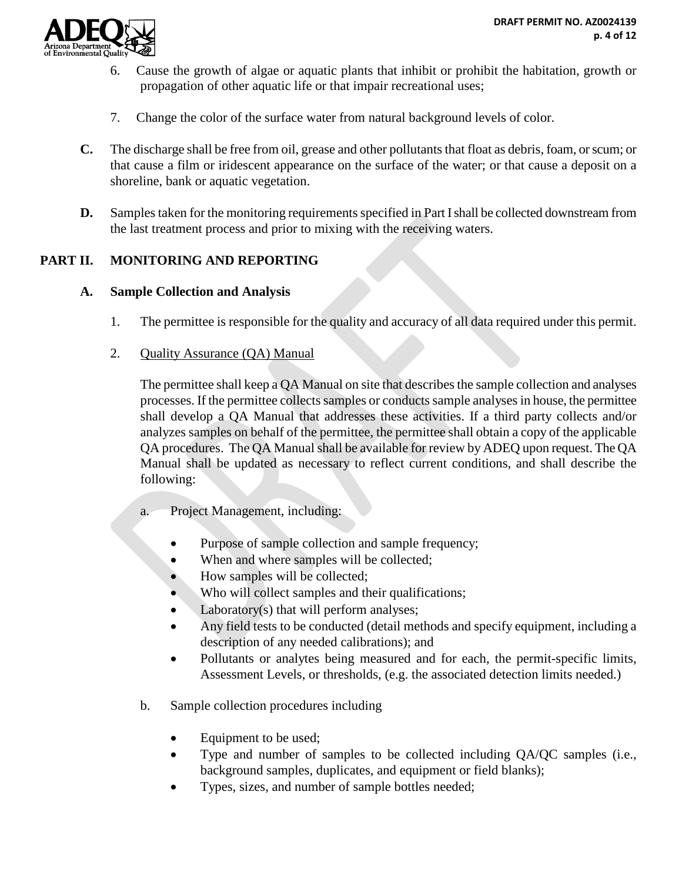

- 6. Cause the growth of algae or aquatic plants that inhibit or prohibit the habitation, growth or propagation of other aquatic life or that impair recreational uses;
- 7. Change the color of the surface water from natural background levels of color.
- **C.** The discharge shall be free from oil, grease and other pollutants that float as debris, foam, or scum; or that cause a film or iridescent appearance on the surface of the water; or that cause a deposit on a shoreline, bank or aquatic vegetation.
- **D.** Samples taken for the monitoring requirements specified in Part I shall be collected downstream from the last treatment process and prior to mixing with the receiving waters.

## **PART II. MONITORING AND REPORTING**

#### **A. Sample Collection and Analysis**

- 1. The permittee is responsible for the quality and accuracy of all data required under this permit.
- 2. Quality Assurance (QA) Manual

The permittee shall keep a QA Manual on site that describes the sample collection and analyses processes. If the permittee collects samples or conducts sample analyses in house, the permittee shall develop a QA Manual that addresses these activities. If a third party collects and/or analyzes samples on behalf of the permittee, the permittee shall obtain a copy of the applicable QA procedures. The QA Manual shall be available for review by ADEQ upon request. The QA Manual shall be updated as necessary to reflect current conditions, and shall describe the following:

- a. Project Management, including:
	- Purpose of sample collection and sample frequency;
	- When and where samples will be collected;
	- How samples will be collected;
	- Who will collect samples and their qualifications;
	- Laboratory(s) that will perform analyses;
	- Any field tests to be conducted (detail methods and specify equipment, including a description of any needed calibrations); and
	- Pollutants or analytes being measured and for each, the permit-specific limits, Assessment Levels, or thresholds, (e.g. the associated detection limits needed.)
- b. Sample collection procedures including
	- Equipment to be used;
	- Type and number of samples to be collected including QA/QC samples (i.e., background samples, duplicates, and equipment or field blanks);
	- Types, sizes, and number of sample bottles needed;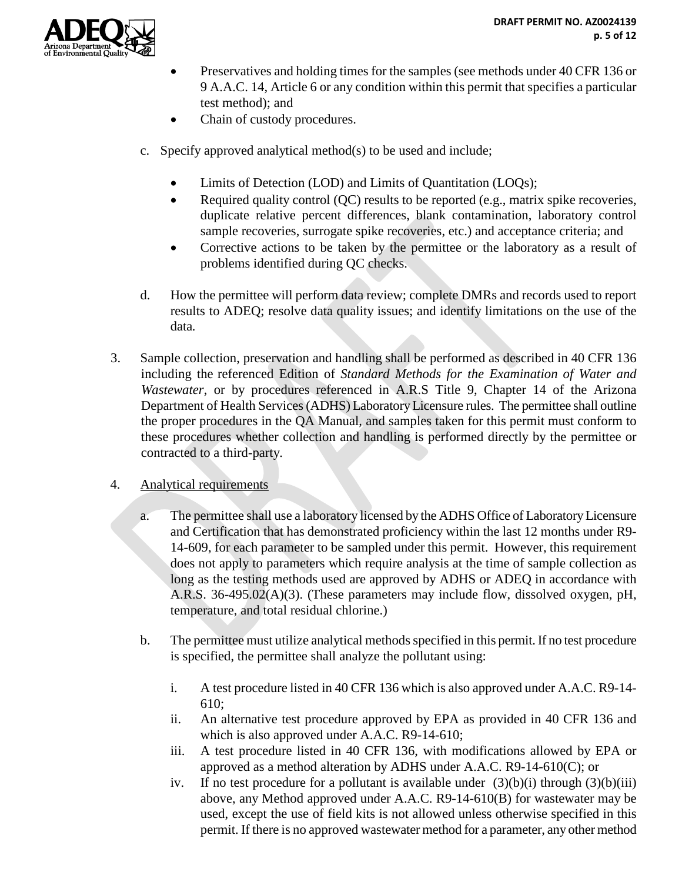

- Preservatives and holding times for the samples (see methods under 40 CFR 136 or 9 A.A.C. 14, Article 6 or any condition within this permit that specifies a particular test method); and
- Chain of custody procedures.
- c. Specify approved analytical method(s) to be used and include;
	- Limits of Detection (LOD) and Limits of Quantitation (LOQs);
	- Required quality control (QC) results to be reported (e.g., matrix spike recoveries, duplicate relative percent differences, blank contamination, laboratory control sample recoveries, surrogate spike recoveries, etc.) and acceptance criteria; and
	- Corrective actions to be taken by the permittee or the laboratory as a result of problems identified during QC checks.
- d. How the permittee will perform data review; complete DMRs and records used to report results to ADEQ; resolve data quality issues; and identify limitations on the use of the data*.*
- 3. Sample collection, preservation and handling shall be performed as described in 40 CFR 136 including the referenced Edition of *Standard Methods for the Examination of Water and Wastewater*, or by procedures referenced in A.R.S Title 9, Chapter 14 of the Arizona Department of Health Services (ADHS) Laboratory Licensure rules.The permittee shall outline the proper procedures in the QA Manual, and samples taken for this permit must conform to these procedures whether collection and handling is performed directly by the permittee or contracted to a third-party.
- 4. Analytical requirements
	- a. The permittee shall use a laboratory licensed by the ADHS Office of Laboratory Licensure and Certification that has demonstrated proficiency within the last 12 months under R9- 14-609, for each parameter to be sampled under this permit. However, this requirement does not apply to parameters which require analysis at the time of sample collection as long as the testing methods used are approved by ADHS or ADEQ in accordance with A.R.S. 36-495.02(A)(3). (These parameters may include flow, dissolved oxygen, pH, temperature, and total residual chlorine.)
	- b. The permittee must utilize analytical methods specified in this permit. If no test procedure is specified, the permittee shall analyze the pollutant using:
		- i. A test procedure listed in 40 CFR 136 which is also approved under A.A.C. R9-14- 610;
		- ii. An alternative test procedure approved by EPA as provided in 40 CFR 136 and which is also approved under A.A.C. R9-14-610;
		- iii. A test procedure listed in 40 CFR 136, with modifications allowed by EPA or approved as a method alteration by ADHS under A.A.C. R9-14-610(C); or
		- iv. If no test procedure for a pollutant is available under  $(3)(b)(i)$  through  $(3)(b)(iii)$ above, any Method approved under A.A.C. R9-14-610(B) for wastewater may be used, except the use of field kits is not allowed unless otherwise specified in this permit. If there is no approved wastewater method for a parameter, any other method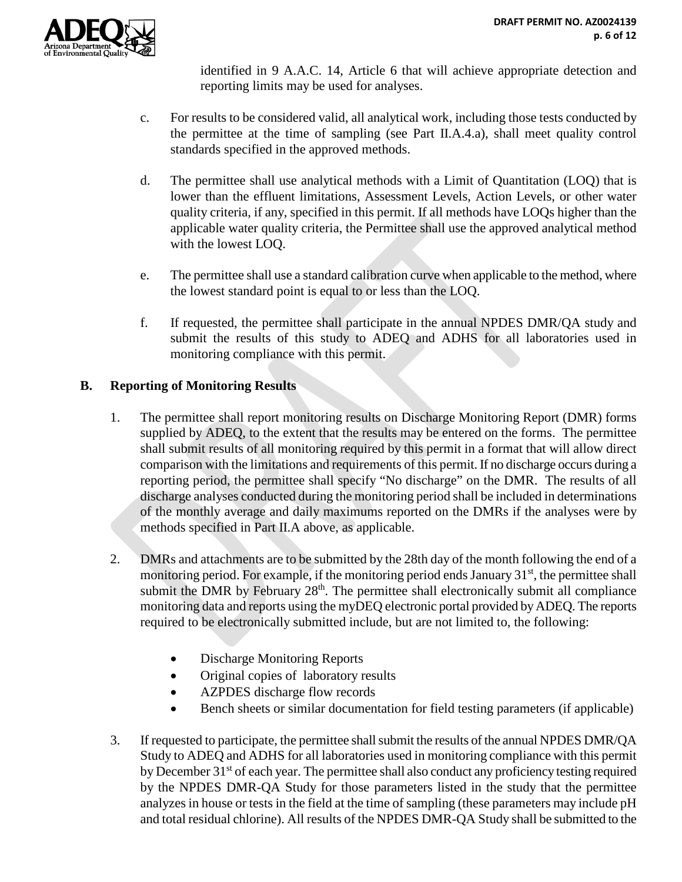identified in 9 A.A.C. 14, Article 6 that will achieve appropriate detection and reporting limits may be used for analyses.

- c. For results to be considered valid, all analytical work, including those tests conducted by the permittee at the time of sampling (see Part II.A.4.a), shall meet quality control standards specified in the approved methods.
- d. The permittee shall use analytical methods with a Limit of Quantitation (LOQ) that is lower than the effluent limitations, Assessment Levels, Action Levels, or other water quality criteria, if any, specified in this permit. If all methods have LOQs higher than the applicable water quality criteria, the Permittee shall use the approved analytical method with the lowest LOQ.
- e. The permittee shall use a standard calibration curve when applicable to the method, where the lowest standard point is equal to or less than the LOQ.
- f. If requested, the permittee shall participate in the annual NPDES DMR/QA study and submit the results of this study to ADEQ and ADHS for all laboratories used in monitoring compliance with this permit.

# **B. Reporting of Monitoring Results**

- 1. The permittee shall report monitoring results on Discharge Monitoring Report (DMR) forms supplied by ADEQ, to the extent that the results may be entered on the forms. The permittee shall submit results of all monitoring required by this permit in a format that will allow direct comparison with the limitations and requirements of this permit. If no discharge occurs during a reporting period, the permittee shall specify "No discharge" on the DMR. The results of all discharge analyses conducted during the monitoring period shall be included in determinations of the monthly average and daily maximums reported on the DMRs if the analyses were by methods specified in Part II.A above, as applicable.
- 2. DMRs and attachments are to be submitted by the 28th day of the month following the end of a monitoring period. For example, if the monitoring period ends January 31<sup>st</sup>, the permittee shall submit the DMR by February  $28<sup>th</sup>$ . The permittee shall electronically submit all compliance monitoring data and reports using the myDEQ electronic portal provided by ADEQ. The reports required to be electronically submitted include, but are not limited to, the following:
	- Discharge Monitoring Reports
	- Original copies of laboratory results
	- AZPDES discharge flow records
	- Bench sheets or similar documentation for field testing parameters (if applicable)
- 3. If requested to participate, the permittee shall submit the results of the annual NPDES DMR/QA Study to ADEQ and ADHS for all laboratories used in monitoring compliance with this permit by December 31<sup>st</sup> of each year. The permittee shall also conduct any proficiency testing required by the NPDES DMR-QA Study for those parameters listed in the study that the permittee analyzes in house or tests in the field at the time of sampling (these parameters may include pH and total residual chlorine). All results of the NPDES DMR-QA Study shall be submitted to the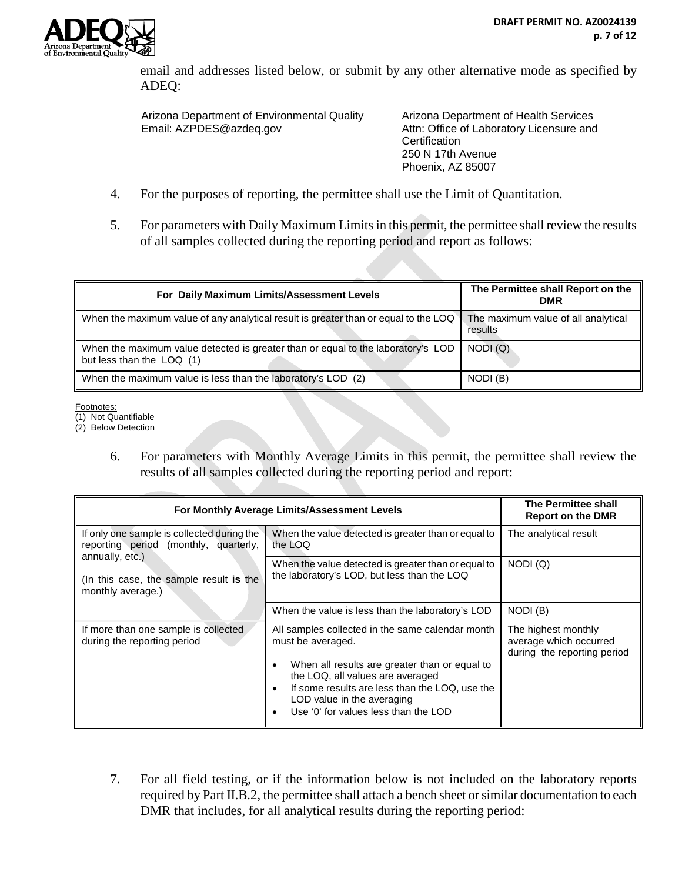email and addresses listed below, or submit by any other alternative mode as specified by ADEQ:

Arizona Department of Environmental Quality Email: AZPDES@azdeq.gov

Arizona Department of Health Services Attn: Office of Laboratory Licensure and **Certification** 250 N 17th Avenue Phoenix, AZ 85007

- 4. For the purposes of reporting, the permittee shall use the Limit of Quantitation.
- 5. For parameters with Daily Maximum Limits in this permit, the permittee shall review the results of all samples collected during the reporting period and report as follows:

| For Daily Maximum Limits/Assessment Levels                                                                    | The Permittee shall Report on the<br><b>DMR</b> |
|---------------------------------------------------------------------------------------------------------------|-------------------------------------------------|
| When the maximum value of any analytical result is greater than or equal to the LOQ                           | The maximum value of all analytical<br>results  |
| When the maximum value detected is greater than or equal to the laboratory's LOD<br>but less than the LOQ (1) | NODI(Q)                                         |
| When the maximum value is less than the laboratory's LOD (2)                                                  | NODI (B)                                        |

Footnotes:

(1) Not Quantifiable

(2) Below Detection

6. For parameters with Monthly Average Limits in this permit, the permittee shall review the results of all samples collected during the reporting period and report:

| For Monthly Average Limits/Assessment Levels                                        | <b>The Permittee shall</b><br><b>Report on the DMR</b>                                                                                                                                                                                                                                                            |                                                                              |
|-------------------------------------------------------------------------------------|-------------------------------------------------------------------------------------------------------------------------------------------------------------------------------------------------------------------------------------------------------------------------------------------------------------------|------------------------------------------------------------------------------|
| If only one sample is collected during the<br>reporting period (monthly, quarterly, | When the value detected is greater than or equal to<br>the LOQ                                                                                                                                                                                                                                                    | The analytical result                                                        |
| annually, etc.)<br>(In this case, the sample result is the<br>monthly average.)     | When the value detected is greater than or equal to<br>the laboratory's LOD, but less than the LOQ                                                                                                                                                                                                                | NODI(Q)                                                                      |
|                                                                                     | When the value is less than the laboratory's LOD                                                                                                                                                                                                                                                                  | NODI(B)                                                                      |
| If more than one sample is collected<br>during the reporting period                 | All samples collected in the same calendar month<br>must be averaged.<br>When all results are greater than or equal to<br>$\bullet$<br>the LOQ, all values are averaged<br>If some results are less than the LOQ, use the<br>$\bullet$<br>LOD value in the averaging<br>Use '0' for values less than the LOD<br>٠ | The highest monthly<br>average which occurred<br>during the reporting period |

7. For all field testing, or if the information below is not included on the laboratory reports required by Part II.B.2, the permittee shall attach a bench sheet or similar documentation to each DMR that includes, for all analytical results during the reporting period: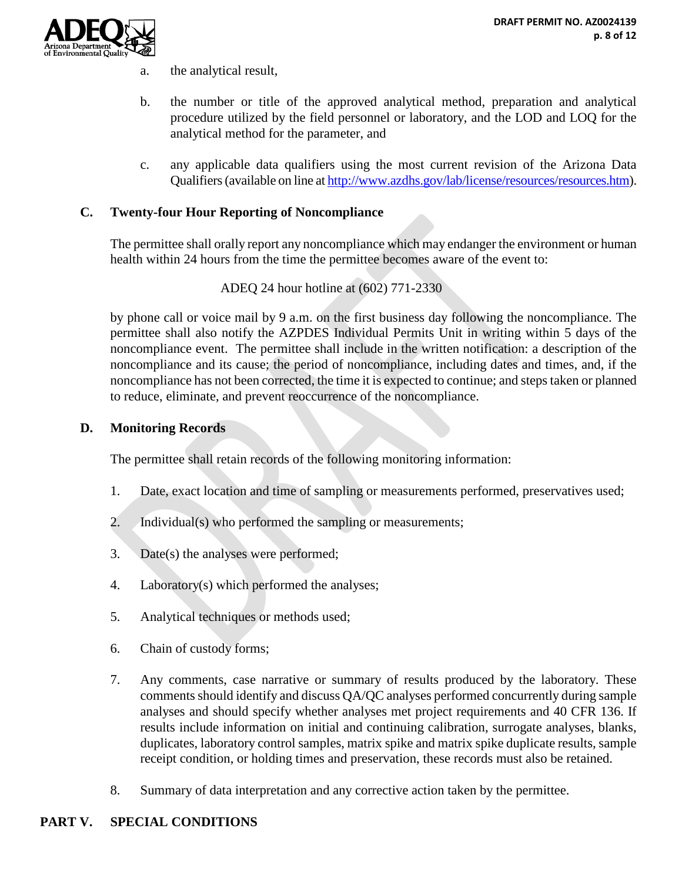

- a. the analytical result,
- b. the number or title of the approved analytical method, preparation and analytical procedure utilized by the field personnel or laboratory, and the LOD and LOQ for the analytical method for the parameter, and
- c. any applicable data qualifiers using the most current revision of the Arizona Data Qualifiers (available on line a[t http://www.azdhs.gov/lab/license/resources/resources.htm\)](http://www.azdhs.gov/lab/license/resources/resources.htm).

### **C. Twenty-four Hour Reporting of Noncompliance**

The permittee shall orally report any noncompliance which may endanger the environment or human health within 24 hours from the time the permittee becomes aware of the event to:

ADEQ 24 hour hotline at (602) 771-2330

by phone call or voice mail by 9 a.m. on the first business day following the noncompliance. The permittee shall also notify the AZPDES Individual Permits Unit in writing within 5 days of the noncompliance event. The permittee shall include in the written notification: a description of the noncompliance and its cause; the period of noncompliance, including dates and times, and, if the noncompliance has not been corrected, the time it is expected to continue; and steps taken or planned to reduce, eliminate, and prevent reoccurrence of the noncompliance.

#### **D. Monitoring Records**

The permittee shall retain records of the following monitoring information:

- 1. Date, exact location and time of sampling or measurements performed, preservatives used;
- 2. Individual(s) who performed the sampling or measurements;
- 3. Date(s) the analyses were performed;
- 4. Laboratory(s) which performed the analyses;
- 5. Analytical techniques or methods used;
- 6. Chain of custody forms;
- 7. Any comments, case narrative or summary of results produced by the laboratory. These comments should identify and discuss QA/QC analyses performed concurrently during sample analyses and should specify whether analyses met project requirements and 40 CFR 136. If results include information on initial and continuing calibration, surrogate analyses, blanks, duplicates, laboratory control samples, matrix spike and matrix spike duplicate results, sample receipt condition, or holding times and preservation, these records must also be retained.
- 8. Summary of data interpretation and any corrective action taken by the permittee.

## **PART V. SPECIAL CONDITIONS**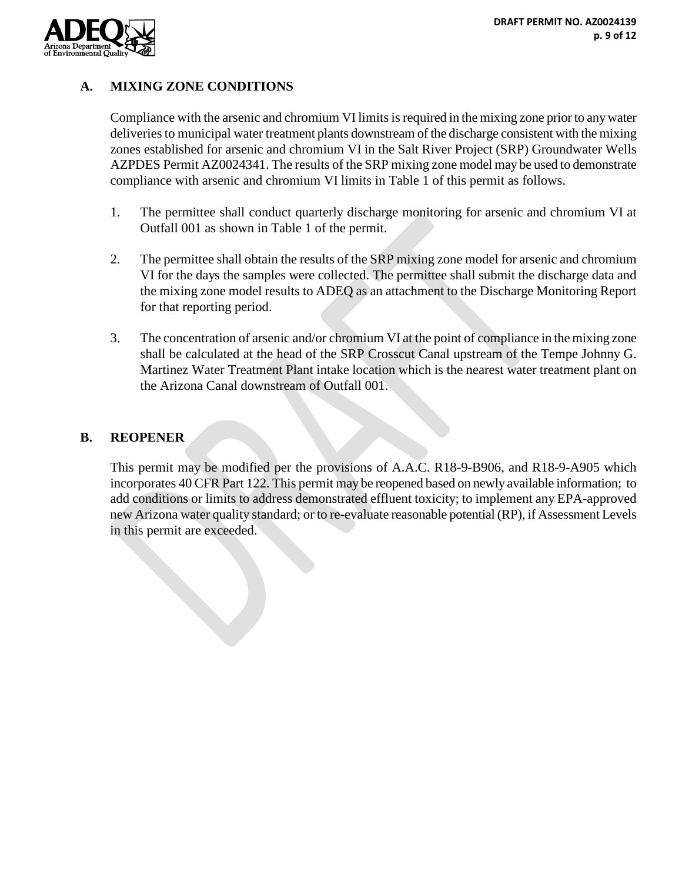

# **A. MIXING ZONE CONDITIONS**

Compliance with the arsenic and chromium VI limits is required in the mixing zone prior to any water deliveries to municipal water treatment plants downstream of the discharge consistent with the mixing zones established for arsenic and chromium VI in the Salt River Project (SRP) Groundwater Wells AZPDES Permit AZ0024341. The results of the SRP mixing zone model may be used to demonstrate compliance with arsenic and chromium VI limits in Table 1 of this permit as follows.

- 1. The permittee shall conduct quarterly discharge monitoring for arsenic and chromium VI at Outfall 001 as shown in Table 1 of the permit.
- 2. The permittee shall obtain the results of the SRP mixing zone model for arsenic and chromium VI for the days the samples were collected. The permittee shall submit the discharge data and the mixing zone model results to ADEQ as an attachment to the Discharge Monitoring Report for that reporting period.
- 3. The concentration of arsenic and/or chromium VI at the point of compliance in the mixing zone shall be calculated at the head of the SRP Crosscut Canal upstream of the Tempe Johnny G. Martinez Water Treatment Plant intake location which is the nearest water treatment plant on the Arizona Canal downstream of Outfall 001.

## **B. REOPENER**

This permit may be modified per the provisions of A.A.C. R18-9-B906, and R18-9-A905 which incorporates 40 CFR Part 122. This permit may be reopened based on newly available information; to add conditions or limits to address demonstrated effluent toxicity; to implement any EPA-approved new Arizona water quality standard; or to re-evaluate reasonable potential (RP), if Assessment Levels in this permit are exceeded.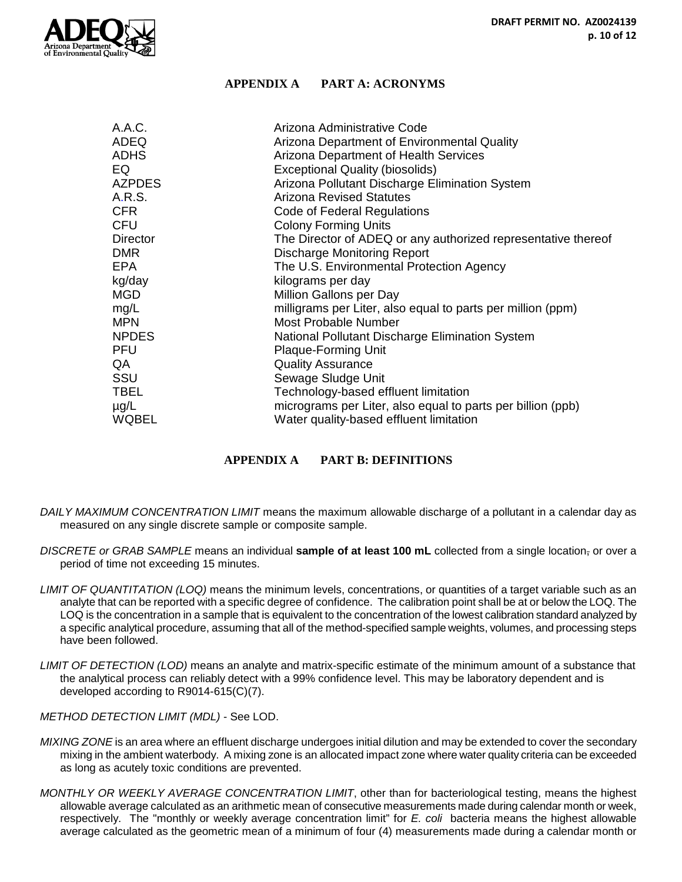

#### **APPENDIX A PART A: ACRONYMS**

| A.A.C.        | Arizona Administrative Code                                   |  |
|---------------|---------------------------------------------------------------|--|
| ADEQ          | Arizona Department of Environmental Quality                   |  |
| <b>ADHS</b>   | Arizona Department of Health Services                         |  |
| EQ            | <b>Exceptional Quality (biosolids)</b>                        |  |
| <b>AZPDES</b> | Arizona Pollutant Discharge Elimination System                |  |
| A.R.S.        | <b>Arizona Revised Statutes</b>                               |  |
| <b>CFR</b>    | Code of Federal Regulations                                   |  |
| <b>CFU</b>    | <b>Colony Forming Units</b>                                   |  |
| Director      | The Director of ADEQ or any authorized representative thereof |  |
| <b>DMR</b>    | <b>Discharge Monitoring Report</b>                            |  |
| <b>EPA</b>    | The U.S. Environmental Protection Agency                      |  |
| kg/day        | kilograms per day                                             |  |
| <b>MGD</b>    | Million Gallons per Day                                       |  |
| mg/L          | milligrams per Liter, also equal to parts per million (ppm)   |  |
| <b>MPN</b>    | <b>Most Probable Number</b>                                   |  |
| <b>NPDES</b>  | National Pollutant Discharge Elimination System               |  |
| <b>PFU</b>    | <b>Plaque-Forming Unit</b>                                    |  |
| QA            | <b>Quality Assurance</b>                                      |  |
| SSU           | Sewage Sludge Unit                                            |  |
| TBEL          | Technology-based effluent limitation                          |  |
| $\mu$ g/L     | micrograms per Liter, also equal to parts per billion (ppb)   |  |
| <b>WQBEL</b>  | Water quality-based effluent limitation                       |  |

#### **APPENDIX A PART B: DEFINITIONS**

- *DAILY MAXIMUM CONCENTRATION LIMIT* means the maximum allowable discharge of a pollutant in a calendar day as measured on any single discrete sample or composite sample.
- *DISCRETE or GRAB SAMPLE* means an individual **sample of at least 100 mL** collected from a single location, or over a period of time not exceeding 15 minutes.
- *LIMIT OF QUANTITATION (LOQ)* means the minimum levels, concentrations, or quantities of a target variable such as an analyte that can be reported with a specific degree of confidence. The calibration point shall be at or below the LOQ. The LOQ is the concentration in a sample that is equivalent to the concentration of the lowest calibration standard analyzed by a specific analytical procedure, assuming that all of the method-specified sample weights, volumes, and processing steps have been followed.
- *LIMIT OF DETECTION (LOD)* means an analyte and matrix-specific estimate of the minimum amount of a substance that the analytical process can reliably detect with a 99% confidence level. This may be laboratory dependent and is developed according to R9014-615(C)(7).

*METHOD DETECTION LIMIT (MDL)* - See LOD.

- *MIXING ZONE* is an area where an effluent discharge undergoes initial dilution and may be extended to cover the secondary mixing in the ambient waterbody. A mixing zone is an allocated impact zone where water quality criteria can be exceeded as long as acutely toxic conditions are prevented.
- *MONTHLY OR WEEKLY AVERAGE CONCENTRATION LIMIT*, other than for bacteriological testing, means the highest allowable average calculated as an arithmetic mean of consecutive measurements made during calendar month or week, respectively. The "monthly or weekly average concentration limit" for *E. coli* bacteria means the highest allowable average calculated as the geometric mean of a minimum of four (4) measurements made during a calendar month or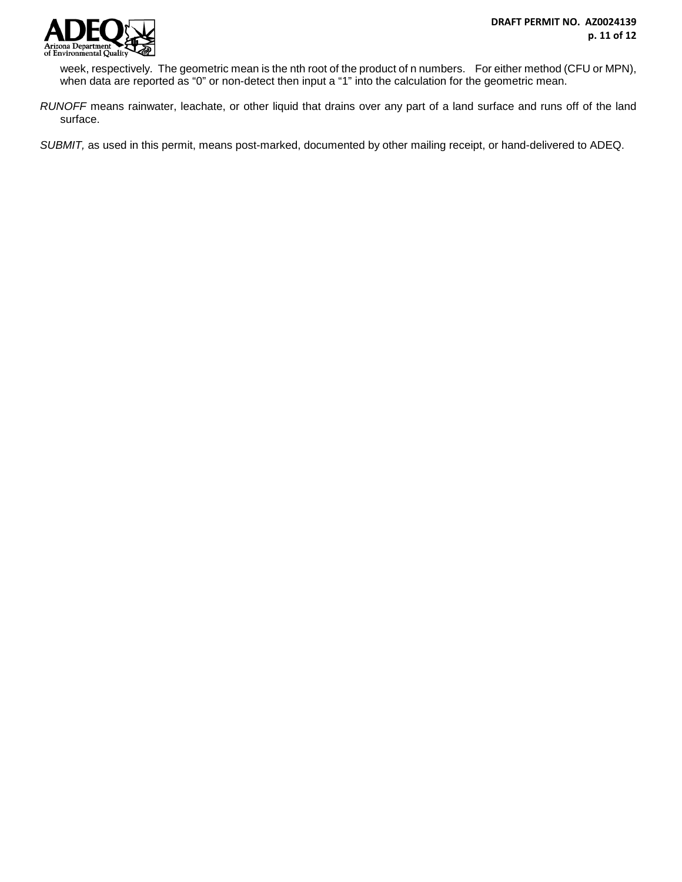

week, respectively. The geometric mean is the nth root of the product of n numbers. For either method (CFU or MPN), when data are reported as "0" or non-detect then input a "1" into the calculation for the geometric mean.

*RUNOFF* means rainwater, leachate, or other liquid that drains over any part of a land surface and runs off of the land surface.

*SUBMIT,* as used in this permit, means post-marked, documented by other mailing receipt, or hand-delivered to ADEQ.